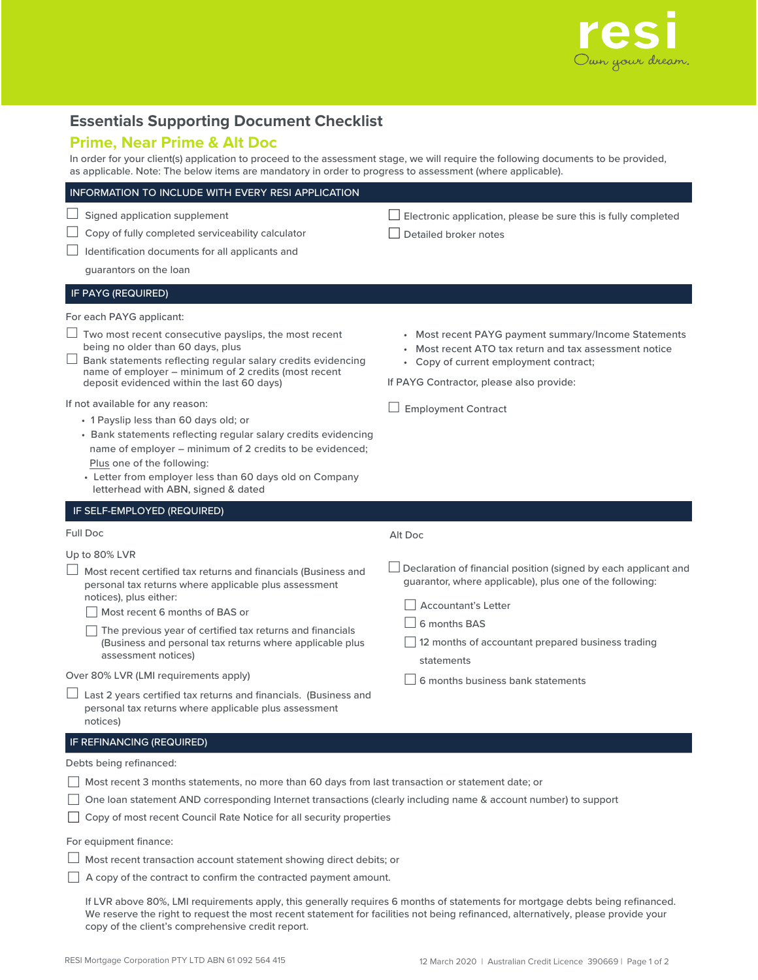

## **Essentials Supporting Document Checklist**

## **Prime, Near Prime & Alt Doc**

In order for your client(s) application to proceed to the assessment stage, we will require the following documents to be provided, as applicable. Note: The below items are mandatory in order to progress to assessment (where applicable).

| as applicable. Note: The below items are manuatory in order to progress to assessment (where applicable).                                                                                                                                                                                                                                                                                                                                                                                                                                                                                                                                      |                                                                                                                                                                                                                                              |
|------------------------------------------------------------------------------------------------------------------------------------------------------------------------------------------------------------------------------------------------------------------------------------------------------------------------------------------------------------------------------------------------------------------------------------------------------------------------------------------------------------------------------------------------------------------------------------------------------------------------------------------------|----------------------------------------------------------------------------------------------------------------------------------------------------------------------------------------------------------------------------------------------|
| INFORMATION TO INCLUDE WITH EVERY RESI APPLICATION                                                                                                                                                                                                                                                                                                                                                                                                                                                                                                                                                                                             |                                                                                                                                                                                                                                              |
| Signed application supplement<br>Copy of fully completed serviceability calculator<br>Identification documents for all applicants and<br>guarantors on the loan                                                                                                                                                                                                                                                                                                                                                                                                                                                                                | Electronic application, please be sure this is fully completed<br>Detailed broker notes                                                                                                                                                      |
| IF PAYG (REQUIRED)                                                                                                                                                                                                                                                                                                                                                                                                                                                                                                                                                                                                                             |                                                                                                                                                                                                                                              |
| For each PAYG applicant:<br>$\Box$ Two most recent consecutive payslips, the most recent<br>being no older than 60 days, plus<br>Bank statements reflecting regular salary credits evidencing<br>name of employer - minimum of 2 credits (most recent<br>deposit evidenced within the last 60 days)<br>If not available for any reason:<br>• 1 Payslip less than 60 days old; or<br>• Bank statements reflecting regular salary credits evidencing<br>name of employer - minimum of 2 credits to be evidenced;<br>Plus one of the following:<br>• Letter from employer less than 60 days old on Company<br>letterhead with ABN, signed & dated | • Most recent PAYG payment summary/Income Statements<br>Most recent ATO tax return and tax assessment notice<br>• Copy of current employment contract;<br>If PAYG Contractor, please also provide:<br><b>Employment Contract</b>             |
| IF SELF-EMPLOYED (REQUIRED)                                                                                                                                                                                                                                                                                                                                                                                                                                                                                                                                                                                                                    |                                                                                                                                                                                                                                              |
| <b>Full Doc</b>                                                                                                                                                                                                                                                                                                                                                                                                                                                                                                                                                                                                                                | Alt Doc                                                                                                                                                                                                                                      |
| Up to 80% LVR<br>Most recent certified tax returns and financials (Business and<br>personal tax returns where applicable plus assessment<br>notices), plus either:<br>Most recent 6 months of BAS or<br>The previous year of certified tax returns and financials<br>(Business and personal tax returns where applicable plus<br>assessment notices)                                                                                                                                                                                                                                                                                           | Declaration of financial position (signed by each applicant and<br>guarantor, where applicable), plus one of the following:<br><b>Accountant's Letter</b><br>6 months BAS<br>12 months of accountant prepared business trading<br>statements |
| Over 80% LVR (LMI requirements apply)<br>Last 2 years certified tax returns and financials. (Business and<br>personal tax returns where applicable plus assessment<br>notices)                                                                                                                                                                                                                                                                                                                                                                                                                                                                 | 6 months business bank statements                                                                                                                                                                                                            |
| IF REFINANCING (REQUIRED)                                                                                                                                                                                                                                                                                                                                                                                                                                                                                                                                                                                                                      |                                                                                                                                                                                                                                              |
| Debts being refinanced:                                                                                                                                                                                                                                                                                                                                                                                                                                                                                                                                                                                                                        |                                                                                                                                                                                                                                              |
| Most recent 3 months statements, no more than 60 days from last transaction or statement date; or<br>One loan statement AND corresponding Internet transactions (clearly including name & account number) to support<br>Copy of most recent Council Rate Notice for all security properties                                                                                                                                                                                                                                                                                                                                                    |                                                                                                                                                                                                                                              |
| For equipment finance:<br>Most recent transaction account statement showing direct debits; or<br>A copy of the contract to confirm the contracted payment amount.                                                                                                                                                                                                                                                                                                                                                                                                                                                                              |                                                                                                                                                                                                                                              |

If LVR above 80%, LMI requirements apply, this generally requires 6 months of statements for mortgage debts being refinanced. We reserve the right to request the most recent statement for facilities not being refinanced, alternatively, please provide your copy of the client's comprehensive credit report.